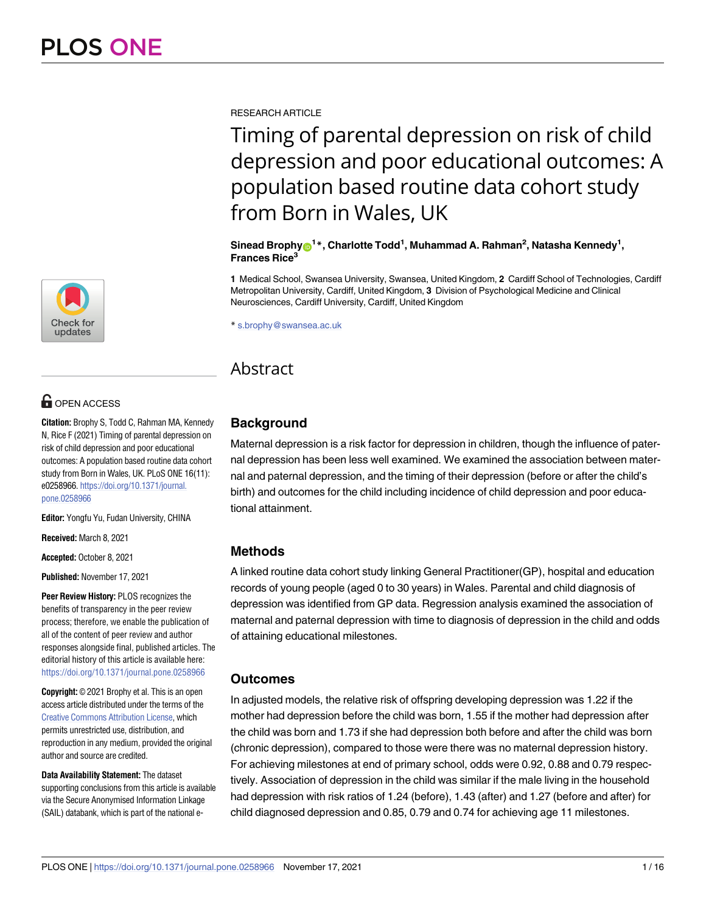

# **OPEN ACCESS**

**Citation:** Brophy S, Todd C, Rahman MA, Kennedy N, Rice F (2021) Timing of parental depression on risk of child depression and poor educational outcomes: A population based routine data cohort study from Born in Wales, UK. PLoS ONE 16(11): e0258966. [https://doi.org/10.1371/journal.](https://doi.org/10.1371/journal.pone.0258966) [pone.0258966](https://doi.org/10.1371/journal.pone.0258966)

**Editor:** Yongfu Yu, Fudan University, CHINA

**Received:** March 8, 2021

**Accepted:** October 8, 2021

**Published:** November 17, 2021

**Peer Review History:** PLOS recognizes the benefits of transparency in the peer review process; therefore, we enable the publication of all of the content of peer review and author responses alongside final, published articles. The editorial history of this article is available here: <https://doi.org/10.1371/journal.pone.0258966>

**Copyright:** © 2021 Brophy et al. This is an open access article distributed under the terms of the Creative Commons [Attribution](http://creativecommons.org/licenses/by/4.0/) License, which permits unrestricted use, distribution, and reproduction in any medium, provided the original author and source are credited.

**Data Availability Statement:** The dataset supporting conclusions from this article is available via the Secure Anonymised Information Linkage (SAIL) databank, which is part of the national eRESEARCH ARTICLE

# Timing of parental depression on risk of child depression and poor educational outcomes: A population based routine data cohort study from Born in Wales, UK

 $\boldsymbol{\delta}$ Sinead Brophy $\boldsymbol{\Theta}^{1*}$ , Charlotte Todd<sup>1</sup>, Muhammad A. Rahman<sup>2</sup>, Natasha Kennedy<sup>1</sup>, **Frances Rice3**

**1** Medical School, Swansea University, Swansea, United Kingdom, **2** Cardiff School of Technologies, Cardiff Metropolitan University, Cardiff, United Kingdom, **3** Division of Psychological Medicine and Clinical Neurosciences, Cardiff University, Cardiff, United Kingdom

\* s.brophy@swansea.ac.uk

# Abstract

# **Background**

Maternal depression is a risk factor for depression in children, though the influence of paternal depression has been less well examined. We examined the association between maternal and paternal depression, and the timing of their depression (before or after the child's birth) and outcomes for the child including incidence of child depression and poor educational attainment.

# **Methods**

A linked routine data cohort study linking General Practitioner(GP), hospital and education records of young people (aged 0 to 30 years) in Wales. Parental and child diagnosis of depression was identified from GP data. Regression analysis examined the association of maternal and paternal depression with time to diagnosis of depression in the child and odds of attaining educational milestones.

# **Outcomes**

In adjusted models, the relative risk of offspring developing depression was 1.22 if the mother had depression before the child was born, 1.55 if the mother had depression after the child was born and 1.73 if she had depression both before and after the child was born (chronic depression), compared to those were there was no maternal depression history. For achieving milestones at end of primary school, odds were 0.92, 0.88 and 0.79 respectively. Association of depression in the child was similar if the male living in the household had depression with risk ratios of 1.24 (before), 1.43 (after) and 1.27 (before and after) for child diagnosed depression and 0.85, 0.79 and 0.74 for achieving age 11 milestones.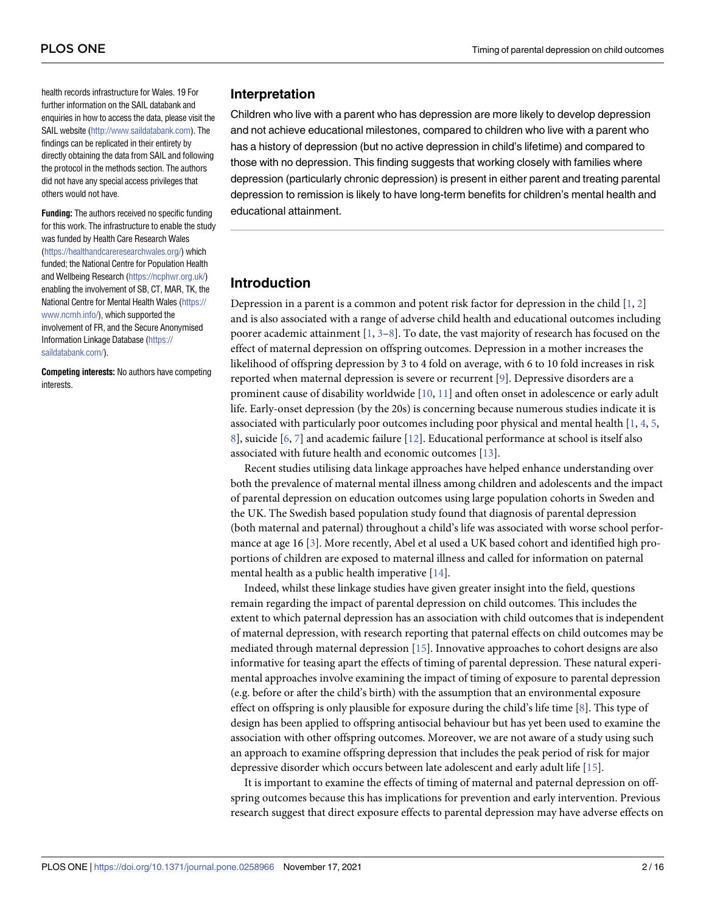<span id="page-1-0"></span>health records infrastructure for Wales. 19 For further information on the SAIL databank and enquiries in how to access the data, please visit the SAIL website [\(http://www.saildatabank.com](http://www.saildatabank.com)). The findings can be replicated in their entirety by directly obtaining the data from SAIL and following the protocol in the methods section. The authors did not have any special access privileges that others would not have.

**Funding:** The authors received no specific funding for this work. The infrastructure to enable the study was funded by Health Care Research Wales [\(https://healthandcareresearchwales.org/](https://healthandcareresearchwales.org/)) which funded; the National Centre for Population Health and Wellbeing Research ([https://ncphwr.org.uk/\)](https://ncphwr.org.uk/) enabling the involvement of SB, CT, MAR, TK, the National Centre for Mental Health Wales ([https://](https://www.ncmh.info/) [www.ncmh.info/](https://www.ncmh.info/)), which supported the involvement of FR, and the Secure Anonymised Information Linkage Database [\(https://](https://saildatabank.com/) [saildatabank.com/\)](https://saildatabank.com/).

**Competing interests:** No authors have competing interests.

#### **Interpretation**

Children who live with a parent who has depression are more likely to develop depression and not achieve educational milestones, compared to children who live with a parent who has a history of depression (but no active depression in child's lifetime) and compared to those with no depression. This finding suggests that working closely with families where depression (particularly chronic depression) is present in either parent and treating parental depression to remission is likely to have long-term benefits for children's mental health and educational attainment.

# **Introduction**

Depression in a parent is a common and potent risk factor for depression in the child  $[1, 2]$  $[1, 2]$  $[1, 2]$  $[1, 2]$ and is also associated with a range of adverse child health and educational outcomes including poorer academic attainment [\[1,](#page-13-0) [3–8](#page-13-0)]. To date, the vast majority of research has focused on the effect of maternal depression on offspring outcomes. Depression in a mother increases the likelihood of offspring depression by 3 to 4 fold on average, with 6 to 10 fold increases in risk reported when maternal depression is severe or recurrent [\[9](#page-14-0)]. Depressive disorders are a prominent cause of disability worldwide [[10](#page-14-0), [11](#page-14-0)] and often onset in adolescence or early adult life. Early-onset depression (by the 20s) is concerning because numerous studies indicate it is associated with particularly poor outcomes including poor physical and mental health [\[1](#page-13-0), [4](#page-13-0), [5](#page-13-0), [8\]](#page-13-0), suicide [\[6,](#page-13-0) [7](#page-13-0)] and academic failure [\[12](#page-14-0)]. Educational performance at school is itself also associated with future health and economic outcomes [[13](#page-14-0)].

Recent studies utilising data linkage approaches have helped enhance understanding over both the prevalence of maternal mental illness among children and adolescents and the impact of parental depression on education outcomes using large population cohorts in Sweden and the UK. The Swedish based population study found that diagnosis of parental depression (both maternal and paternal) throughout a child's life was associated with worse school performance at age 16 [[3](#page-13-0)]. More recently, Abel et al used a UK based cohort and identified high proportions of children are exposed to maternal illness and called for information on paternal mental health as a public health imperative [[14](#page-14-0)].

Indeed, whilst these linkage studies have given greater insight into the field, questions remain regarding the impact of parental depression on child outcomes. This includes the extent to which paternal depression has an association with child outcomes that is independent of maternal depression, with research reporting that paternal effects on child outcomes may be mediated through maternal depression [[15\]](#page-14-0). Innovative approaches to cohort designs are also informative for teasing apart the effects of timing of parental depression. These natural experimental approaches involve examining the impact of timing of exposure to parental depression (e.g. before or after the child's birth) with the assumption that an environmental exposure effect on offspring is only plausible for exposure during the child's life time [\[8](#page-13-0)]. This type of design has been applied to offspring antisocial behaviour but has yet been used to examine the association with other offspring outcomes. Moreover, we are not aware of a study using such an approach to examine offspring depression that includes the peak period of risk for major depressive disorder which occurs between late adolescent and early adult life [[15](#page-14-0)].

It is important to examine the effects of timing of maternal and paternal depression on offspring outcomes because this has implications for prevention and early intervention. Previous research suggest that direct exposure effects to parental depression may have adverse effects on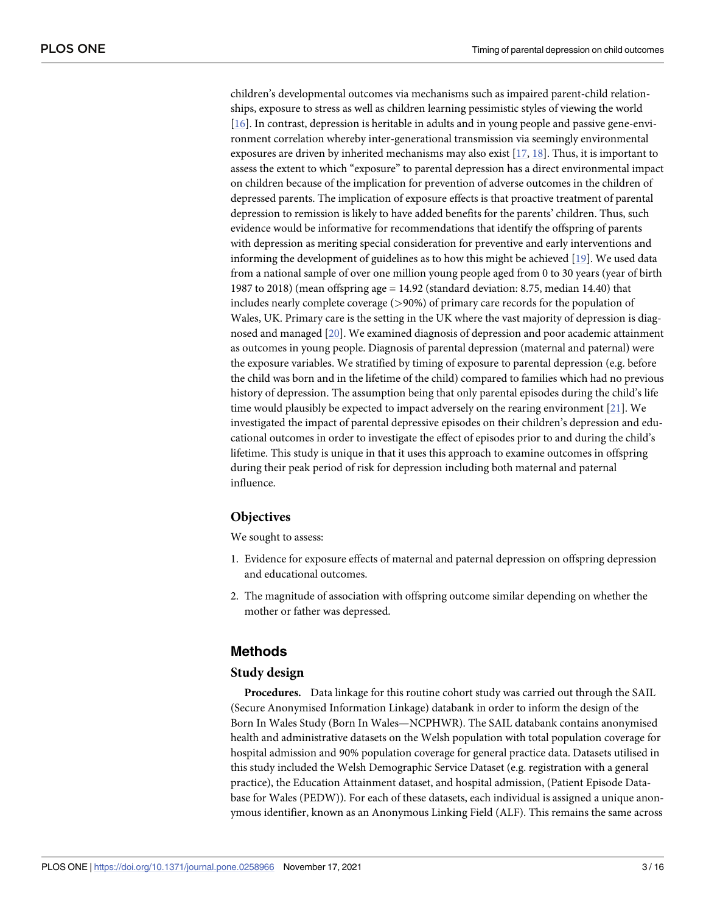<span id="page-2-0"></span>children's developmental outcomes via mechanisms such as impaired parent-child relationships, exposure to stress as well as children learning pessimistic styles of viewing the world [\[16\]](#page-14-0). In contrast, depression is heritable in adults and in young people and passive gene-environment correlation whereby inter-generational transmission via seemingly environmental exposures are driven by inherited mechanisms may also exist  $[17, 18]$  $[17, 18]$  $[17, 18]$  $[17, 18]$  $[17, 18]$ . Thus, it is important to assess the extent to which "exposure" to parental depression has a direct environmental impact on children because of the implication for prevention of adverse outcomes in the children of depressed parents. The implication of exposure effects is that proactive treatment of parental depression to remission is likely to have added benefits for the parents' children. Thus, such evidence would be informative for recommendations that identify the offspring of parents with depression as meriting special consideration for preventive and early interventions and informing the development of guidelines as to how this might be achieved [\[19\]](#page-14-0). We used data from a national sample of over one million young people aged from 0 to 30 years (year of birth 1987 to 2018) (mean offspring age = 14.92 (standard deviation: 8.75, median 14.40) that includes nearly complete coverage (*>*90%) of primary care records for the population of Wales, UK. Primary care is the setting in the UK where the vast majority of depression is diagnosed and managed [\[20\]](#page-14-0). We examined diagnosis of depression and poor academic attainment as outcomes in young people. Diagnosis of parental depression (maternal and paternal) were the exposure variables. We stratified by timing of exposure to parental depression (e.g. before the child was born and in the lifetime of the child) compared to families which had no previous history of depression. The assumption being that only parental episodes during the child's life time would plausibly be expected to impact adversely on the rearing environment [\[21\]](#page-14-0). We investigated the impact of parental depressive episodes on their children's depression and educational outcomes in order to investigate the effect of episodes prior to and during the child's lifetime. This study is unique in that it uses this approach to examine outcomes in offspring during their peak period of risk for depression including both maternal and paternal influence.

#### **Objectives**

We sought to assess:

- 1. Evidence for exposure effects of maternal and paternal depression on offspring depression and educational outcomes.
- 2. The magnitude of association with offspring outcome similar depending on whether the mother or father was depressed.

#### **Methods**

#### **Study design**

**Procedures.** Data linkage for this routine cohort study was carried out through the SAIL (Secure Anonymised Information Linkage) databank in order to inform the design of the Born In Wales Study (Born In Wales—NCPHWR). The SAIL databank contains anonymised health and administrative datasets on the Welsh population with total population coverage for hospital admission and 90% population coverage for general practice data. Datasets utilised in this study included the Welsh Demographic Service Dataset (e.g. registration with a general practice), the Education Attainment dataset, and hospital admission, (Patient Episode Database for Wales (PEDW)). For each of these datasets, each individual is assigned a unique anonymous identifier, known as an Anonymous Linking Field (ALF). This remains the same across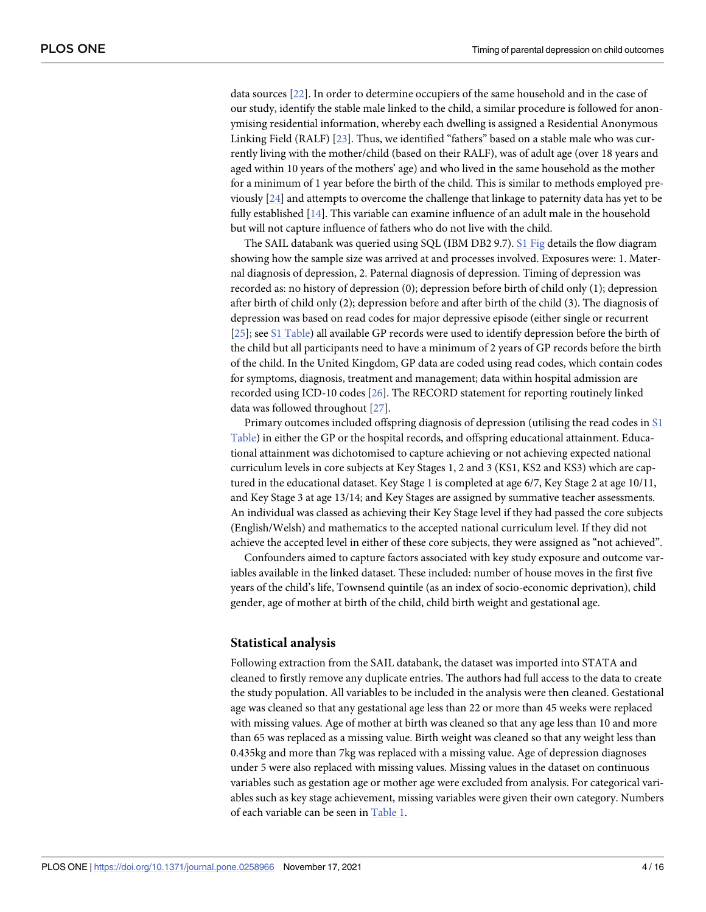<span id="page-3-0"></span>data sources [\[22\]](#page-14-0). In order to determine occupiers of the same household and in the case of our study, identify the stable male linked to the child, a similar procedure is followed for anonymising residential information, whereby each dwelling is assigned a Residential Anonymous Linking Field (RALF) [[23](#page-14-0)]. Thus, we identified "fathers" based on a stable male who was currently living with the mother/child (based on their RALF), was of adult age (over 18 years and aged within 10 years of the mothers' age) and who lived in the same household as the mother for a minimum of 1 year before the birth of the child. This is similar to methods employed previously [[24](#page-14-0)] and attempts to overcome the challenge that linkage to paternity data has yet to be fully established [\[14\]](#page-14-0). This variable can examine influence of an adult male in the household but will not capture influence of fathers who do not live with the child.

The SAIL databank was queried using SQL (IBM DB2 9.7). S1 [Fig](#page-13-0) details the flow diagram showing how the sample size was arrived at and processes involved. Exposures were: 1. Maternal diagnosis of depression, 2. Paternal diagnosis of depression. Timing of depression was recorded as: no history of depression (0); depression before birth of child only (1); depression after birth of child only (2); depression before and after birth of the child (3). The diagnosis of depression was based on read codes for major depressive episode (either single or recurrent [\[25\]](#page-14-0); see S1 [Table\)](#page-13-0) all available GP records were used to identify depression before the birth of the child but all participants need to have a minimum of 2 years of GP records before the birth of the child. In the United Kingdom, GP data are coded using read codes, which contain codes for symptoms, diagnosis, treatment and management; data within hospital admission are recorded using ICD-10 codes [\[26\]](#page-14-0). The RECORD statement for reporting routinely linked data was followed throughout [[27](#page-14-0)].

Primary outcomes included offspring diagnosis of depression (utilising the read codes in [S1](#page-13-0) [Table](#page-13-0)) in either the GP or the hospital records, and offspring educational attainment. Educational attainment was dichotomised to capture achieving or not achieving expected national curriculum levels in core subjects at Key Stages 1, 2 and 3 (KS1, KS2 and KS3) which are captured in the educational dataset. Key Stage 1 is completed at age 6/7, Key Stage 2 at age 10/11, and Key Stage 3 at age 13/14; and Key Stages are assigned by summative teacher assessments. An individual was classed as achieving their Key Stage level if they had passed the core subjects (English/Welsh) and mathematics to the accepted national curriculum level. If they did not achieve the accepted level in either of these core subjects, they were assigned as "not achieved".

Confounders aimed to capture factors associated with key study exposure and outcome variables available in the linked dataset. These included: number of house moves in the first five years of the child's life, Townsend quintile (as an index of socio-economic deprivation), child gender, age of mother at birth of the child, child birth weight and gestational age.

#### **Statistical analysis**

Following extraction from the SAIL databank, the dataset was imported into STATA and cleaned to firstly remove any duplicate entries. The authors had full access to the data to create the study population. All variables to be included in the analysis were then cleaned. Gestational age was cleaned so that any gestational age less than 22 or more than 45 weeks were replaced with missing values. Age of mother at birth was cleaned so that any age less than 10 and more than 65 was replaced as a missing value. Birth weight was cleaned so that any weight less than 0.435kg and more than 7kg was replaced with a missing value. Age of depression diagnoses under 5 were also replaced with missing values. Missing values in the dataset on continuous variables such as gestation age or mother age were excluded from analysis. For categorical variables such as key stage achievement, missing variables were given their own category. Numbers of each variable can be seen in [Table](#page-5-0) 1.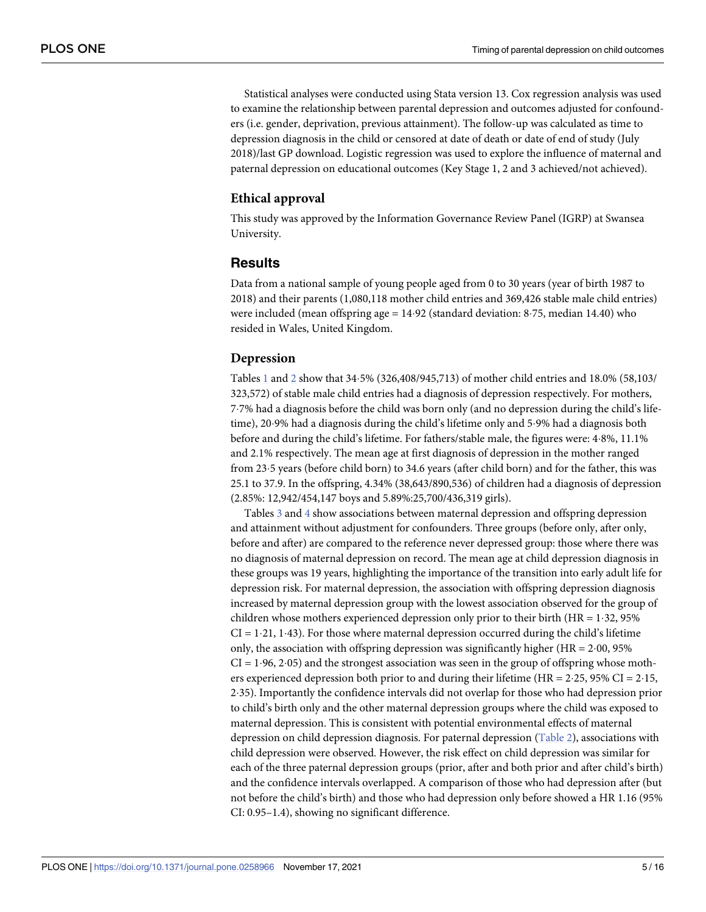<span id="page-4-0"></span>Statistical analyses were conducted using Stata version 13. Cox regression analysis was used to examine the relationship between parental depression and outcomes adjusted for confounders (i.e. gender, deprivation, previous attainment). The follow-up was calculated as time to depression diagnosis in the child or censored at date of death or date of end of study (July 2018)/last GP download. Logistic regression was used to explore the influence of maternal and paternal depression on educational outcomes (Key Stage 1, 2 and 3 achieved/not achieved).

# **Ethical approval**

This study was approved by the Information Governance Review Panel (IGRP) at Swansea University.

#### **Results**

Data from a national sample of young people aged from 0 to 30 years (year of birth 1987 to 2018) and their parents (1,080,118 mother child entries and 369,426 stable male child entries) were included (mean offspring  $age = 14.92$  (standard deviation: 8.75, median 14.40) who resided in Wales, United Kingdom.

#### **Depression**

Tables [1](#page-5-0) and [2](#page-6-0) show that 34�5% (326,408/945,713) of mother child entries and 18.0% (58,103/ 323,572) of stable male child entries had a diagnosis of depression respectively. For mothers, 7�7% had a diagnosis before the child was born only (and no depression during the child's lifetime), 20.9% had a diagnosis during the child's lifetime only and 5.9% had a diagnosis both before and during the child's lifetime. For fathers/stable male, the figures were: 4�8%, 11.1% and 2.1% respectively. The mean age at first diagnosis of depression in the mother ranged from 23�5 years (before child born) to 34.6 years (after child born) and for the father, this was 25.1 to 37.9. In the offspring, 4.34% (38,643/890,536) of children had a diagnosis of depression (2.85%: 12,942/454,147 boys and 5.89%:25,700/436,319 girls).

Tables [3](#page-7-0) and [4](#page-8-0) show associations between maternal depression and offspring depression and attainment without adjustment for confounders. Three groups (before only, after only, before and after) are compared to the reference never depressed group: those where there was no diagnosis of maternal depression on record. The mean age at child depression diagnosis in these groups was 19 years, highlighting the importance of the transition into early adult life for depression risk. For maternal depression, the association with offspring depression diagnosis increased by maternal depression group with the lowest association observed for the group of children whose mothers experienced depression only prior to their birth ( $HR = 1.32$ , 95%)  $CI = 1.21, 1.43$ . For those where maternal depression occurred during the child's lifetime only, the association with offspring depression was significantly higher ( $HR = 2.00$ , 95%)  $CI = 1.96, 2.05$ ) and the strongest association was seen in the group of offspring whose mothers experienced depression both prior to and during their lifetime (HR =  $2.25$ , 95% CI =  $2.15$ , 2�35). Importantly the confidence intervals did not overlap for those who had depression prior to child's birth only and the other maternal depression groups where the child was exposed to maternal depression. This is consistent with potential environmental effects of maternal depression on child depression diagnosis. For paternal depression [\(Table](#page-6-0) 2), associations with child depression were observed. However, the risk effect on child depression was similar for each of the three paternal depression groups (prior, after and both prior and after child's birth) and the confidence intervals overlapped. A comparison of those who had depression after (but not before the child's birth) and those who had depression only before showed a HR 1.16 (95% CI: 0.95–1.4), showing no significant difference.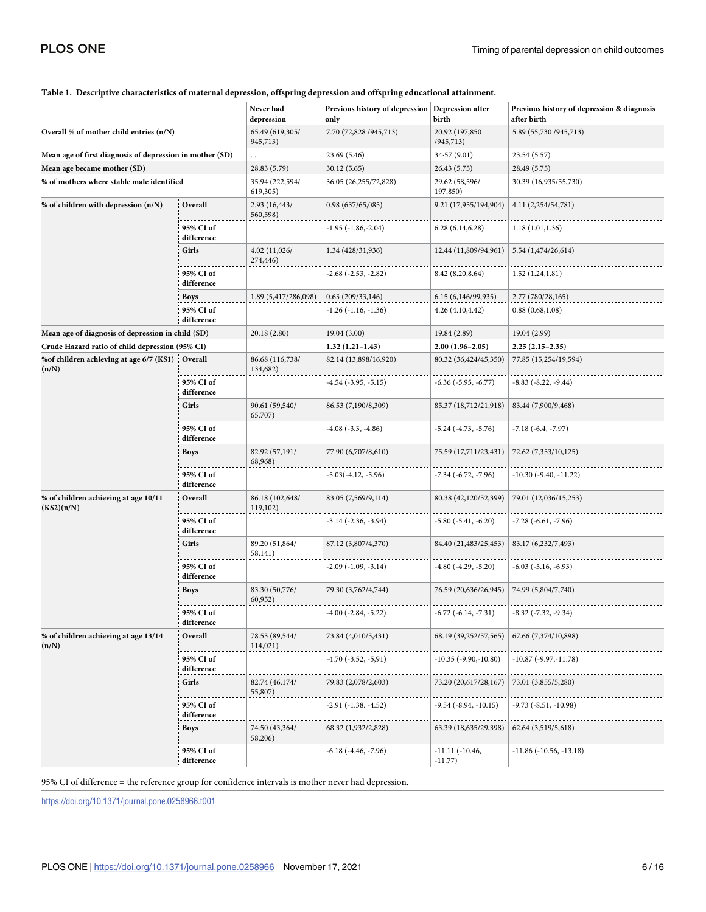|                                                          |                         | Never had<br>depression     | Previous history of depression Depression after<br>only | birth                         | Previous history of depression & diagnosis<br>after birth |
|----------------------------------------------------------|-------------------------|-----------------------------|---------------------------------------------------------|-------------------------------|-----------------------------------------------------------|
| Overall % of mother child entries (n/N)                  |                         | 65.49 (619,305/<br>945,713) | 7.70 (72,828 / 945, 713)                                | 20.92 (197,850<br>/945,713)   | 5.89 (55,730 / 945,713)                                   |
| Mean age of first diagnosis of depression in mother (SD) |                         | .                           | 23.69 (5.46)                                            | 34.57(9.01)                   | 23.54 (5.57)                                              |
| Mean age became mother (SD)                              |                         | 28.83 (5.79)                | 30.12 (5.65)                                            | 26.43 (5.75)                  | 28.49 (5.75)                                              |
| % of mothers where stable male identified                |                         | 35.94 (222,594/<br>619,305) | 36.05 (26,255/72,828)                                   | 29.62 (58,596/<br>197,850)    | 30.39 (16,935/55,730)                                     |
| % of children with depression (n/N)                      | Overall                 | 2.93 (16,443/<br>560,598)   | 0.98(637/65,085)                                        | 9.21 (17,955/194,904)         | 4.11 (2,254/54,781)                                       |
|                                                          | 95% CI of<br>difference |                             | -1.95 (-1.86,-2.04)                                     | 6.28(6.14, 6.28)              | 1.18(1.01, 1.36)                                          |
|                                                          | Girls                   | 4.02 (11,026/<br>274,446)   | 1.34 (428/31,936)                                       | 12.44 (11,809/94,961)         | 5.54 (1,474/26,614)                                       |
|                                                          | 95% CI of<br>difference |                             | -2.68 (-2.53, -2.82)                                    | 8.42 (8.20,8.64)              | 1.52(1.24, 1.81)                                          |
|                                                          | Boys                    | 1.89 (5,417/286,098)        | 0.63(209/33,146)                                        | 6.15 (6,146/99,935)           | 2.77 (780/28,165)                                         |
|                                                          | 95% CI of<br>difference |                             | -1.26 (-1.16, -1.36)                                    | 4.26 (4.10,4.42)              | 0.88(0.68, 1.08)                                          |
| Mean age of diagnosis of depression in child (SD)        |                         | 20.18 (2.80)                | 19.04 (3.00)                                            | 19.84 (2.89)                  | 19.04 (2.99)                                              |
| Crude Hazard ratio of child depression (95% CI)          |                         |                             | $1.32(1.21-1.43)$                                       | $2.00(1.96-2.05)$             | $2.25(2.15-2.35)$                                         |
| %of children achieving at age 6/7 (KS1)<br>(n/N)         | Overall                 | 86.68 (116,738/<br>134,682) | 82.14 (13,898/16,920)                                   | 80.32 (36,424/45,350)         | 77.85 (15,254/19,594)                                     |
|                                                          | 95% CI of<br>difference |                             | -4.54 (-3.95, -5.15)                                    | $-6.36$ ( $-5.95$ , $-6.77$ ) | -8.83 (-8.22, -9.44)                                      |
|                                                          | Girls                   | 90.61 (59,540/<br>65,707)   | 86.53 (7,190/8,309)                                     | 85.37 (18,712/21,918)         | 83.44 (7,900/9,468)                                       |
|                                                          | 95% CI of<br>difference |                             | $-4.08$ $(-3.3, -4.86)$                                 | $-5.24$ ( $-4.73$ , $-5.76$ ) | $-7.18(-6.4, -7.97)$                                      |
|                                                          | Boys                    | 82.92 (57,191/<br>68,968)   | 77.90 (6,707/8,610)                                     | 75.59 (17,711/23,431)         | 72.62 (7,353/10,125)                                      |
|                                                          | 95% CI of<br>difference |                             | $-5.03(-4.12, -5.96)$                                   | $-7.34$ ( $-6.72$ , $-7.96$ ) | $-10.30$ ( $-9.40$ , $-11.22$ )                           |
| % of children achieving at age 10/11<br>(KS2)(n/N)       | Overall                 | 86.18 (102,648/<br>119,102) | 83.05 (7,569/9,114)                                     | 80.38 (42,120/52,399)         | 79.01 (12,036/15,253)                                     |
|                                                          | 95% CI of<br>difference |                             | -3.14 (-2.36, -3.94)                                    | $-5.80$ ( $-5.41$ , $-6.20$ ) | $-7.28(-6.61, -7.96)$                                     |
|                                                          | Girls                   | 89.20 (51,864/<br>58,141)   | 87.12 (3,807/4,370)                                     | 84.40 (21,483/25,453)         | 83.17 (6,232/7,493)                                       |
|                                                          | 95% CI of<br>difference |                             | $-2.09$ $(-1.09, -3.14)$                                | $-4.80$ ( $-4.29$ , $-5.20$ ) | $-6.03$ ( $-5.16$ , $-6.93$ )                             |
|                                                          | <b>Boys</b>             | 83.30 (50,776/<br>60,952)   | 79.30 (3,762/4,744)                                     | 76.59 (20,636/26,945)         | 74.99 (5,804/7,740)                                       |
|                                                          | 95% CI of<br>difference |                             | $-4.00$ $(-2.84, -5.22)$                                | $-6.72$ $(-6.14, -7.31)$      | $-8.32$ ( $-7.32$ , $-9.34$ )                             |
| % of children achieving at age 13/14<br>(n/N)            | Overall                 | 78.53 (89,544/<br>114,021)  | 73.84 (4,010/5,431)                                     | 68.19 (39,252/57,565)         | 67.66 (7,374/10,898)                                      |
|                                                          | 95% CI of<br>difference |                             | -4.70 (-3.52, -5,91)                                    | -10.35 (-9.90,-10.80)         | -10.87 (-9.97,-11.78)                                     |
|                                                          | Girls                   | 82.74 (46,174/<br>55,807)   | 79.83 (2,078/2,603)                                     | 73.20 (20,617/28,167)         | 73.01 (3,855/5,280)                                       |
|                                                          | 95% CI of<br>difference |                             | -2.91 (-1.38. -4.52)                                    | -9.54 (-8.94, -10.15)         | -9.73 (-8.51, -10.98)                                     |
|                                                          | Boys                    | 74.50 (43,364/<br>58,206)   | 68.32 (1,932/2,828)                                     | 63.39 (18,635/29,398)         | 62.64 (3,519/5,618)                                       |
|                                                          | 95% CI of<br>difference |                             | -6.18 (-4.46, -7.96)                                    | $-11.11(-10.46,$<br>$-11.77)$ | $-11.86$ ( $-10.56$ , $-13.18$ )                          |

#### <span id="page-5-0"></span>**[Table](#page-3-0) 1. Descriptive characteristics of maternal depression, offspring depression and offspring educational attainment.**

95% CI of difference = the reference group for confidence intervals is mother never had depression.

<https://doi.org/10.1371/journal.pone.0258966.t001>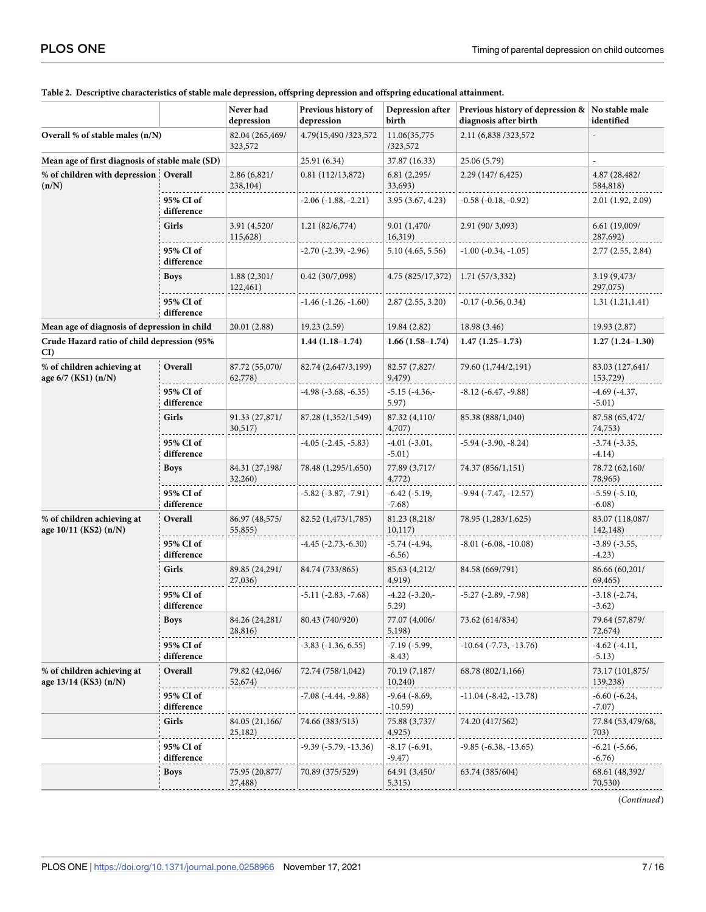|                                                                                                   |                               | Never had                     | Previous history of               | Depression after                        | Previous history of depression &   No stable male |                                 |
|---------------------------------------------------------------------------------------------------|-------------------------------|-------------------------------|-----------------------------------|-----------------------------------------|---------------------------------------------------|---------------------------------|
| Overall % of stable males (n/N)                                                                   |                               | depression<br>82.04 (265,469/ | depression<br>4.79(15,490/323,572 | birth<br>11.06(35,775                   | diagnosis after birth<br>2.11 (6,838 / 323, 572)  | identified                      |
|                                                                                                   |                               | 323,572                       |                                   | /323,572                                |                                                   |                                 |
| Mean age of first diagnosis of stable male (SD)<br>% of children with depression Overall<br>(n/N) |                               | 2.86(6,821/<br>238,104)       | 25.91 (6.34)<br>0.81(112/13,872)  | 37.87 (16.33)<br>6.81(2,295/<br>33,693) | 25.06 (5.79)<br>2.29 (147/6,425)                  | 4.87 (28,482/<br>584,818)       |
|                                                                                                   | 95% CI of<br>difference       |                               | $-2.06(-1.88,-2.21)$              | 3.95(3.67, 4.23)                        | $-0.58$ $(-0.18, -0.92)$                          | 2.01 (1.92, 2.09)               |
|                                                                                                   | Girls                         | 3.91 (4,520/<br>115,628)      | 1.21(82/6,774)                    | 9.01 (1,470/<br>16,319)                 | 2.91 (90/3,093)                                   | 6.61 (19,009/<br>287,692)       |
|                                                                                                   | 95% CI of<br>difference       |                               | $-2.70$ ( $-2.39$ , $-2.96$ )     | 5.10 (4.65, 5.56)                       | $-1.00$ ( $-0.34$ , $-1.05$ )                     | 2.77(2.55, 2.84)                |
|                                                                                                   | <b>Boys</b>                   | 1.88 (2,301/<br>122,461)      | 0.42(30/7,098)                    | 4.75 (825/17,372)                       | 1.71(57/3,332)                                    | 3.19 (9,473/<br>297,075)        |
|                                                                                                   | 95% CI of<br>difference       |                               | $-1.46$ ( $-1.26$ , $-1.60$ )     | 2.87(2.55, 3.20)                        | $-0.17$ ( $-0.56$ , $0.34$ )                      | 1.31(1.21, 1.41)                |
| Mean age of diagnosis of depression in child                                                      |                               | 20.01 (2.88)                  | 19.23(2.59)                       | 19.84 (2.82)                            | 18.98 (3.46)                                      | 19.93 (2.87)                    |
| Crude Hazard ratio of child depression (95%<br>CI)                                                |                               |                               | $1.44(1.18-1.74)$                 | $1.66(1.58-1.74)$                       | $1.47(1.25-1.73)$                                 | $1.27(1.24 - 1.30)$             |
| % of children achieving at<br>age 6/7 (KS1) (n/N)                                                 | Overall                       | 87.72 (55,070/<br>62,778)     | 82.74 (2,647/3,199)               | 82.57 (7,827/<br>9,479)                 | 79.60 (1,744/2,191)                               | 83.03 (127,641/<br>153,729)     |
|                                                                                                   | 95% CI of<br>difference       |                               | -4.98 (-3.68, -6.35)              | $-5.15$ $(-4.36, -$<br>5.97)            | $-8.12$ ( $-6.47, -9.88$ )                        | $-4.69$ $(-4.37,$<br>$-5.01)$   |
|                                                                                                   | Girls                         | 91.33 (27,871/<br>30,517)     | 87.28 (1,352/1,549)               | 87.32 (4,110/<br>4,707)                 | 85.38 (888/1,040)                                 | 87.58 (65,472/<br>74,753)       |
|                                                                                                   | 95% CI of<br>difference       |                               | $-4.05$ ( $-2.45, -5.83$ )        | $-4.01(-3.01,$<br>$-5.01)$              | $-5.94$ $(-3.90, -8.24)$                          | $-3.74$ ( $-3.35$ ,<br>$-4.14)$ |
|                                                                                                   | Boys                          | 84.31 (27,198/<br>32,260)     | 78.48 (1,295/1,650)               | 77.89 (3,717/<br>4,772)                 | 74.37 (856/1,151)                                 | 78.72 (62,160/<br>78,965)       |
|                                                                                                   | 95% CI of<br>difference       |                               | $-5.82$ ( $-3.87, -7.91$ )        | $-6.42$ $(-5.19,$<br>$-7.68$ )          | $-9.94$ ( $-7.47$ , $-12.57$ )                    | $-5.59(-5.10,$<br>$-6.08)$      |
| % of children achieving at<br>age 10/11 (KS2) (n/N)                                               | Overall                       | 86.97 (48,575/<br>55,855)     | 82.52 (1,473/1,785)               | 81.23 (8,218/<br>10, 117)               | 78.95 (1,283/1,625)                               | 83.07 (118,087/<br>142,148)     |
|                                                                                                   | 95% CI of<br>difference       |                               | $-4.45$ $(-2.73,-6.30)$           | $-5.74$ $(-4.94,$<br>$-6.56)$           | $-8.01$ ( $-6.08, -10.08$ )                       | $-3.89$ $(-3.55,$<br>$-4.23)$   |
|                                                                                                   | Girls                         | 89.85 (24,291/<br>27,036)     | 84.74 (733/865)                   | 85.63 (4,212/<br>4,919)                 | 84.58 (669/791)                                   | 86.66 (60,201/<br>69,465)       |
|                                                                                                   | 95% CI of<br>difference       |                               | $-5.11$ $(-2.83, -7.68)$          | $-4.22$ ( $-3.20$ , $-$<br>5.29)        | $-5.27$ ( $-2.89$ , $-7.98$ )                     | $-3.18(-2.74,$<br>$-3.62)$      |
|                                                                                                   | <b>Boys</b>                   | 84.26 (24,281/<br>28,816)     | 80.43 (740/920)                   | 77.07 (4,006/<br>5,198)                 | 73.62 (614/834)                                   | 79.64 (57,879/<br>72,674)       |
|                                                                                                   | 95% CI of<br>difference       |                               | $-3.83$ ( $-1.36$ , 6.55)         | $-7.19$ ( $-5.99$ ,<br>$-8.43)$         | $-10.64$ ( $-7.73$ , $-13.76$ )                   | $-4.62$ $(-4.11,$<br>$-5.13)$   |
| % of children achieving at<br>age 13/14 (KS3) (n/N)                                               | Overall                       | 79.82 (42,046/<br>52,674)     | 72.74 (758/1,042)                 | 70.19 (7,187/<br>10,240)                | 68.78 (802/1,166)                                 | 73.17 (101,875/<br>139,238)     |
|                                                                                                   | 95% CI of<br>$\it difference$ |                               | $-7.08$ ( $-4.44$ , $-9.88$ )     | $-9.64$ $(-8.69,$<br>$-10.59)$          | $-11.04$ ( $-8.42$ , $-13.78$ )                   | $-6.60$ $(-6.24,$<br>$-7.07)$   |
|                                                                                                   | Girls                         | 84.05 (21,166/<br>25,182)     | 74.66 (383/513)                   | 75.88 (3,737/<br>4,925)                 | 74.20 (417/562)                                   | 77.84 (53,479/68,<br>703)       |
|                                                                                                   | 95% CI of<br>difference       |                               | -9.39 (-5.79, -13.36)             | -8.17 (-6.91,<br>$-9.47)$               | $-9.85$ ( $-6.38$ , $-13.65$ )                    | -6.21 (-5.66,<br>$-6.76)$       |
|                                                                                                   | <b>Boys</b>                   | 75.95 (20,877/<br>27,488)     | 70.89 (375/529)                   | 64.91 (3,450/<br>5,315)                 | 63.74 (385/604)                                   | 68.61 (48,392/<br>70,530)       |

#### <span id="page-6-0"></span>**[Table](#page-4-0) 2. Descriptive characteristics of stable male depression, offspring depression and offspring educational attainment.**

(*Continued*)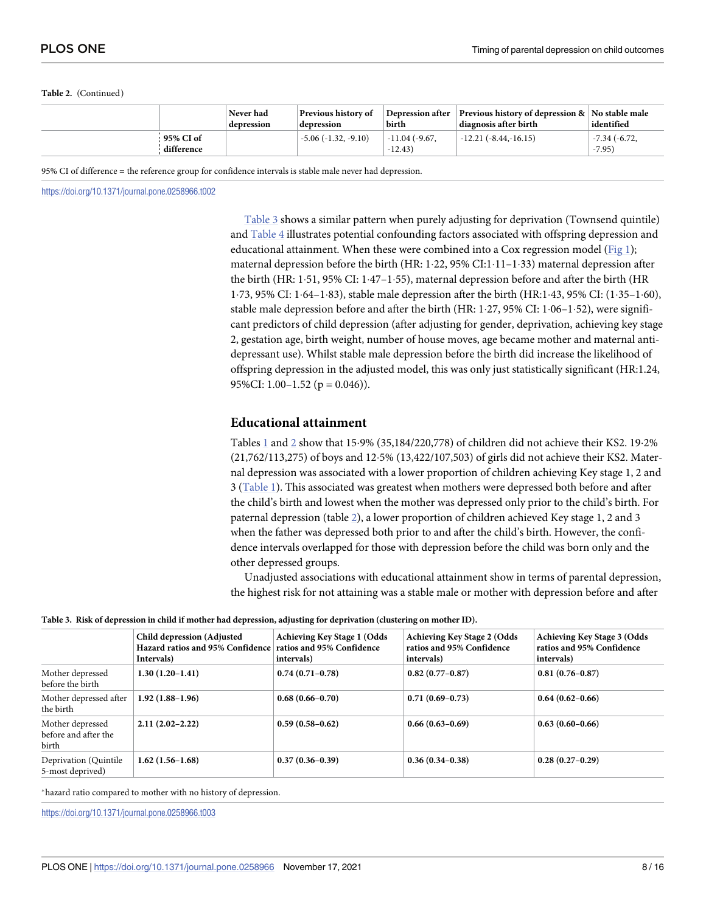#### <span id="page-7-0"></span>**Table 2.** (Continued)

|                         | Never had<br>depression | <b>Previous history of</b><br>depression | Depression after<br>birth  | <b>Previous history of depression <math>\&amp;</math> No stable male</b><br>diagnosis after birth | identified                     |
|-------------------------|-------------------------|------------------------------------------|----------------------------|---------------------------------------------------------------------------------------------------|--------------------------------|
| 95% CI of<br>difference |                         | $-5.06$ $(-1.32, -9.10)$                 | -11.04 (-9.67.<br>$-12.43$ | $-12.21(-8.44,-16.15)$                                                                            | $-7.34$ ( $-6.72$ )<br>$-7.95$ |

95% CI of difference = the reference group for confidence intervals is stable male never had depression.

<https://doi.org/10.1371/journal.pone.0258966.t002>

Table 3 shows a similar pattern when purely adjusting for deprivation (Townsend quintile) and [Table](#page-8-0) 4 illustrates potential confounding factors associated with offspring depression and educational attainment. When these were combined into a Cox regression model [\(Fig](#page-9-0) 1); maternal depression before the birth (HR:  $1.22$ ,  $95\%$  CI: $1.11-1.33$ ) maternal depression after the birth (HR: 1 $\cdot$  51, 95% CI: 1 $\cdot$ 47–1 $\cdot$ 55), maternal depression before and after the birth (HR 1�73, 95% CI: 1�64–1�83), stable male depression after the birth (HR:1�43, 95% CI: (1�35–1�60), stable male depression before and after the birth (HR:  $1.27$ ,  $95\%$  CI:  $1.06-1.52$ ), were significant predictors of child depression (after adjusting for gender, deprivation, achieving key stage 2, gestation age, birth weight, number of house moves, age became mother and maternal antidepressant use). Whilst stable male depression before the birth did increase the likelihood of offspring depression in the adjusted model, this was only just statistically significant (HR:1.24, 95%CI:  $1.00-1.52$  ( $p = 0.046$ )).

#### **Educational attainment**

Tables [1](#page-5-0) and [2](#page-6-0) show that  $15.9\%$  (35,184/220,778) of children did not achieve their KS2. 19 $.2\%$ (21,762/113,275) of boys and 12�5% (13,422/107,503) of girls did not achieve their KS2. Maternal depression was associated with a lower proportion of children achieving Key stage 1, 2 and 3 [\(Table](#page-5-0) 1). This associated was greatest when mothers were depressed both before and after the child's birth and lowest when the mother was depressed only prior to the child's birth. For paternal depression (table [2\)](#page-6-0), a lower proportion of children achieved Key stage 1, 2 and 3 when the father was depressed both prior to and after the child's birth. However, the confidence intervals overlapped for those with depression before the child was born only and the other depressed groups.

Unadjusted associations with educational attainment show in terms of parental depression, the highest risk for not attaining was a stable male or mother with depression before and after

|  | Table 3. Risk of depression in child if mother had depression, adjusting for deprivation (clustering on mother ID). |  |  |  |  |
|--|---------------------------------------------------------------------------------------------------------------------|--|--|--|--|
|  |                                                                                                                     |  |  |  |  |

|                                                   | Child depression (Adjusted<br>Hazard ratios and 95% Confidence ratios and 95% Confidence<br>Intervals) | <b>Achieving Key Stage 1 (Odds</b><br>intervals) | <b>Achieving Key Stage 2 (Odds</b><br>ratios and 95% Confidence<br>intervals) | <b>Achieving Key Stage 3 (Odds</b><br>ratios and 95% Confidence<br>intervals) |  |  |  |
|---------------------------------------------------|--------------------------------------------------------------------------------------------------------|--------------------------------------------------|-------------------------------------------------------------------------------|-------------------------------------------------------------------------------|--|--|--|
| Mother depressed<br>before the birth              | $1.30(1.20-1.41)$                                                                                      | $0.74(0.71-0.78)$                                | $0.82(0.77-0.87)$                                                             | $0.81(0.76 - 0.87)$                                                           |  |  |  |
| Mother depressed after<br>the birth               | $1.92(1.88-1.96)$                                                                                      | $0.68(0.66 - 0.70)$                              | $0.71(0.69 - 0.73)$                                                           | $0.64(0.62 - 0.66)$                                                           |  |  |  |
| Mother depressed<br>before and after the<br>birth | $2.11(2.02 - 2.22)$                                                                                    | $0.59(0.58-0.62)$                                | $0.66(0.63 - 0.69)$                                                           | $0.63(0.60-0.66)$                                                             |  |  |  |
| Deprivation (Quintile)<br>5-most deprived)        | $1.62(1.56-1.68)$                                                                                      | $0.37(0.36-0.39)$                                | $0.36(0.34 - 0.38)$                                                           | $0.28(0.27-0.29)$                                                             |  |  |  |

�hazard ratio compared to mother with no history of depression.

<https://doi.org/10.1371/journal.pone.0258966.t003>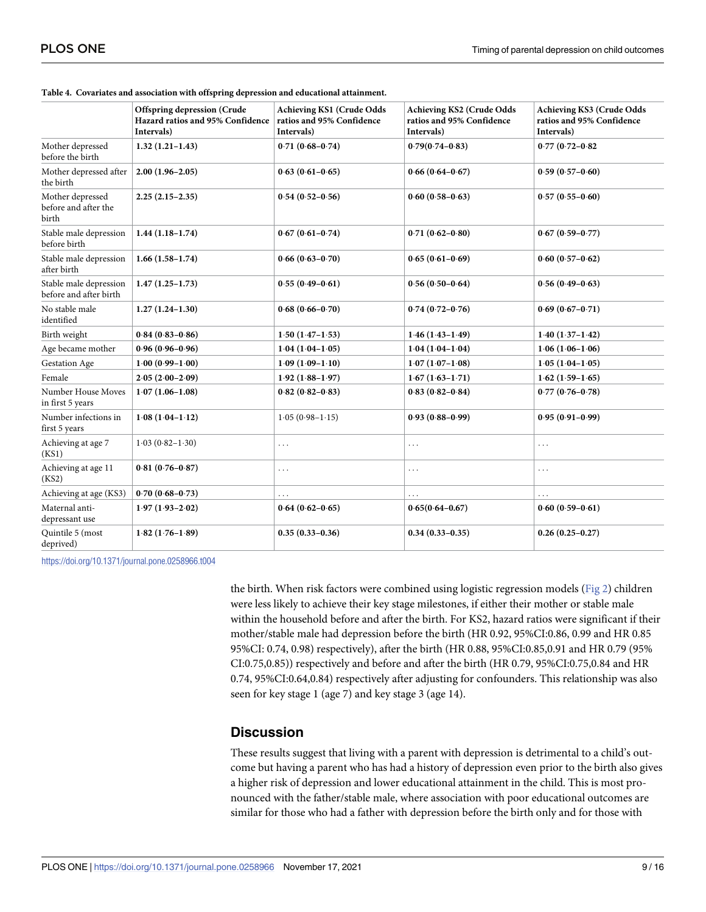|                                                   | <b>Offspring depression (Crude</b><br>Hazard ratios and 95% Confidence | <b>Achieving KS1 (Crude Odds</b><br>ratios and 95% Confidence | <b>Achieving KS2 (Crude Odds</b><br>ratios and 95% Confidence | <b>Achieving KS3 (Crude Odds</b><br>ratios and 95% Confidence |
|---------------------------------------------------|------------------------------------------------------------------------|---------------------------------------------------------------|---------------------------------------------------------------|---------------------------------------------------------------|
| Mother depressed                                  | Intervals)<br>$1.32(1.21-1.43)$                                        | Intervals)<br>$0.71(0.68 - 0.74)$                             | Intervals)<br>$0.79(0.74 - 0.83)$                             | Intervals)<br>$0.77(0.72 - 0.82)$                             |
| before the birth                                  |                                                                        |                                                               |                                                               |                                                               |
| Mother depressed after<br>the birth               | $2.00(1.96 - 2.05)$                                                    | $0.63(0.61-0.65)$                                             | $0.66(0.64 - 0.67)$                                           | $0.59(0.57-0.60)$                                             |
| Mother depressed<br>before and after the<br>birth | $2.25(2.15-2.35)$                                                      | $0.54(0.52 - 0.56)$                                           | $0.60(0.58-0.63)$                                             | $0.57(0.55-0.60)$                                             |
| Stable male depression<br>before birth            | $1.44(1.18-1.74)$                                                      | $0.67(0.61 - 0.74)$                                           | $0.71(0.62 - 0.80)$                                           | $0.67(0.59 - 0.77)$                                           |
| Stable male depression<br>after birth             | $1.66(1.58-1.74)$                                                      | $0.66(0.63 - 0.70)$                                           | $0.65(0.61-0.69)$                                             | $0.60(0.57-0.62)$                                             |
| Stable male depression<br>before and after birth  | $1.47(1.25-1.73)$                                                      | $0.55(0.49 - 0.61)$                                           | $0.56(0.50-0.64)$                                             | $0.56(0.49-0.63)$                                             |
| No stable male<br>identified                      | $1.27(1.24-1.30)$                                                      | $0.68(0.66 - 0.70)$                                           | $0.74(0.72 - 0.76)$                                           | $0.69(0.67 - 0.71)$                                           |
| Birth weight                                      | $0.84(0.83 - 0.86)$                                                    | $1.50(1.47 - 1.53)$                                           | $1.46(1.43 - 1.49)$                                           | $1.40(1.37 - 1.42)$                                           |
| Age became mother                                 | $0.96(0.96 - 0.96)$                                                    | $1.04(1.04-1.05)$                                             | $1.04(1.04 - 1.04)$                                           | $1.06(1.06 - 1.06)$                                           |
| Gestation Age                                     | $1.00(0.99 - 1.00)$                                                    | $1.09(1.09 - 1.10)$                                           | $1.07(1.07 - 1.08)$                                           | $1.05(1.04-1.05)$                                             |
| Female                                            | $2.05(2.00-2.09)$                                                      | $1.92(1.88 - 1.97)$                                           | $1.67(1.63 - 1.71)$                                           | $1.62(1.59-1.65)$                                             |
| Number House Moves<br>in first 5 years            | $1.07(1.06-1.08)$                                                      | $0.82(0.82 - 0.83)$                                           | $0.83(0.82 - 0.84)$                                           | $0.77(0.76 - 0.78)$                                           |
| Number infections in<br>first 5 years             | $1.08(1.04-1.12)$                                                      | $1.05(0.98 - 1.15)$                                           | $0.93(0.88 - 0.99)$                                           | $0.95(0.91 - 0.99)$                                           |
| Achieving at age 7<br>(KS1)                       | $1.03(0.82 - 1.30)$                                                    | .                                                             | .                                                             | $\ldots$                                                      |
| Achieving at age 11<br>(KS2)                      | $0.81(0.76 - 0.87)$                                                    | $\cdots$                                                      | .                                                             | $\cdots$                                                      |
| Achieving at age (KS3)                            | $0.70(0.68 - 0.73)$                                                    | .                                                             |                                                               | $\cdots$                                                      |
| Maternal anti-<br>depressant use                  | $1.97(1.93 - 2.02)$                                                    | $0.64(0.62 - 0.65)$                                           | $0.65(0.64 - 0.67)$                                           | $0.60(0.59 - 0.61)$                                           |
| Quintile 5 (most<br>deprived)                     | $1.82(1.76 - 1.89)$                                                    | $0.35(0.33 - 0.36)$                                           | $0.34(0.33 - 0.35)$                                           | $0.26(0.25-0.27)$                                             |

<span id="page-8-0"></span>**[Table](#page-4-0) 4. Covariates and association with offspring depression and educational attainment.**

<https://doi.org/10.1371/journal.pone.0258966.t004>

the birth. When risk factors were combined using logistic regression models ([Fig](#page-10-0) 2) children were less likely to achieve their key stage milestones, if either their mother or stable male within the household before and after the birth. For KS2, hazard ratios were significant if their mother/stable male had depression before the birth (HR 0.92, 95%CI:0.86, 0.99 and HR 0.85 95%CI: 0.74, 0.98) respectively), after the birth (HR 0.88, 95%CI:0.85,0.91 and HR 0.79 (95% CI:0.75,0.85)) respectively and before and after the birth (HR 0.79, 95%CI:0.75,0.84 and HR 0.74, 95%CI:0.64,0.84) respectively after adjusting for confounders. This relationship was also seen for key stage 1 (age 7) and key stage 3 (age 14).

# **Discussion**

These results suggest that living with a parent with depression is detrimental to a child's outcome but having a parent who has had a history of depression even prior to the birth also gives a higher risk of depression and lower educational attainment in the child. This is most pronounced with the father/stable male, where association with poor educational outcomes are similar for those who had a father with depression before the birth only and for those with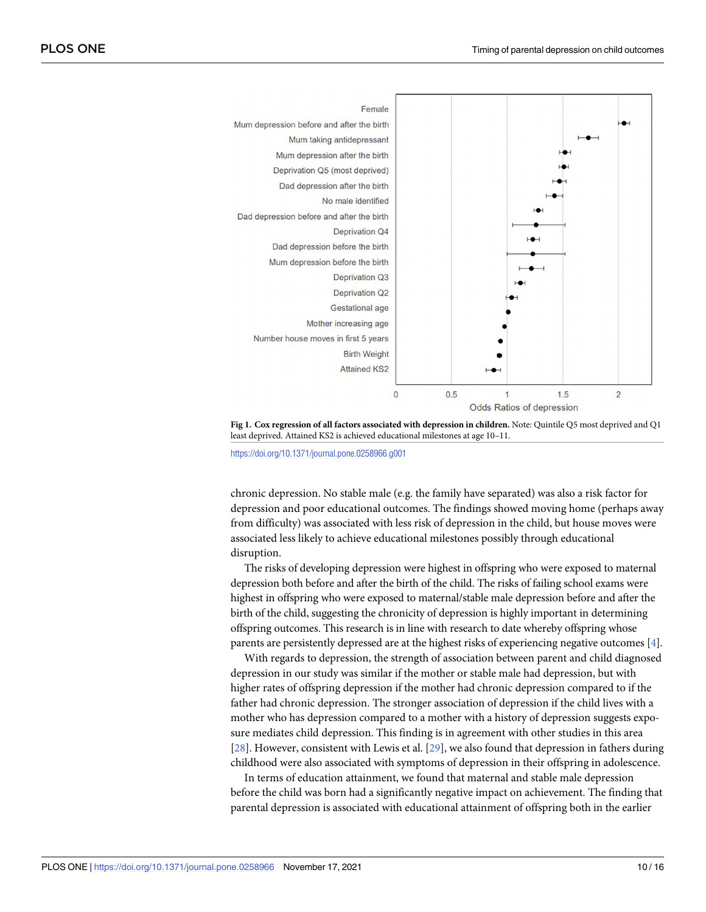<span id="page-9-0"></span>

**[Fig](#page-7-0) 1. Cox regression of all factors associated with depression in children.** Note: Quintile Q5 most deprived and Q1 least deprived. Attained KS2 is achieved educational milestones at age 10–11.

<https://doi.org/10.1371/journal.pone.0258966.g001>

chronic depression. No stable male (e.g. the family have separated) was also a risk factor for depression and poor educational outcomes. The findings showed moving home (perhaps away from difficulty) was associated with less risk of depression in the child, but house moves were associated less likely to achieve educational milestones possibly through educational disruption.

The risks of developing depression were highest in offspring who were exposed to maternal depression both before and after the birth of the child. The risks of failing school exams were highest in offspring who were exposed to maternal/stable male depression before and after the birth of the child, suggesting the chronicity of depression is highly important in determining offspring outcomes. This research is in line with research to date whereby offspring whose parents are persistently depressed are at the highest risks of experiencing negative outcomes [[4](#page-13-0)].

With regards to depression, the strength of association between parent and child diagnosed depression in our study was similar if the mother or stable male had depression, but with higher rates of offspring depression if the mother had chronic depression compared to if the father had chronic depression. The stronger association of depression if the child lives with a mother who has depression compared to a mother with a history of depression suggests exposure mediates child depression. This finding is in agreement with other studies in this area [\[28\]](#page-14-0). However, consistent with Lewis et al. [\[29\]](#page-15-0), we also found that depression in fathers during childhood were also associated with symptoms of depression in their offspring in adolescence.

In terms of education attainment, we found that maternal and stable male depression before the child was born had a significantly negative impact on achievement. The finding that parental depression is associated with educational attainment of offspring both in the earlier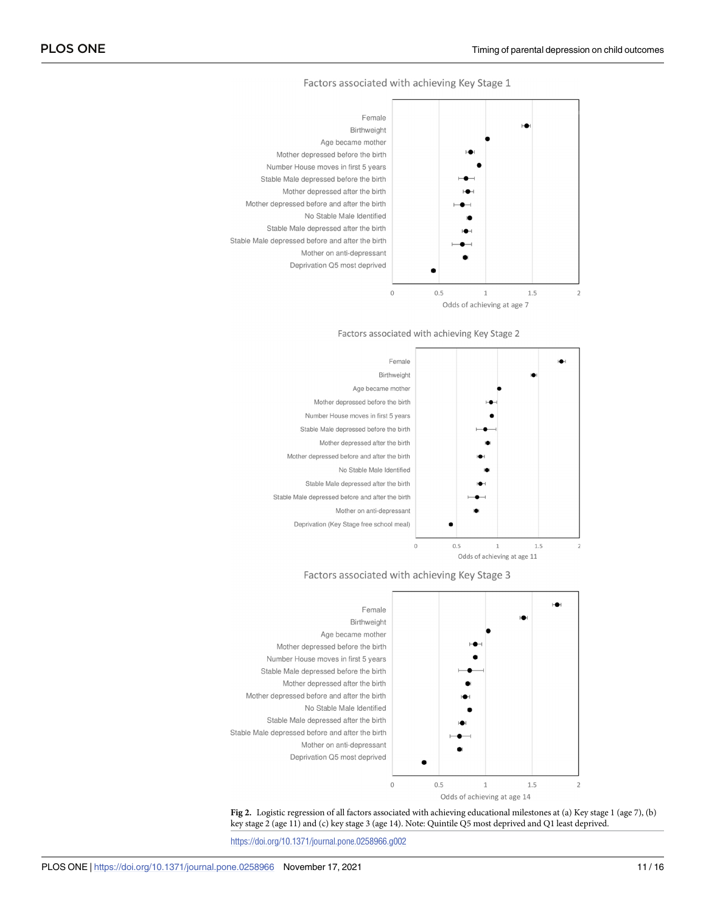Factors associated with achieving Key Stage 1

<span id="page-10-0"></span>

Odds of achieving at age 7











<https://doi.org/10.1371/journal.pone.0258966.g002>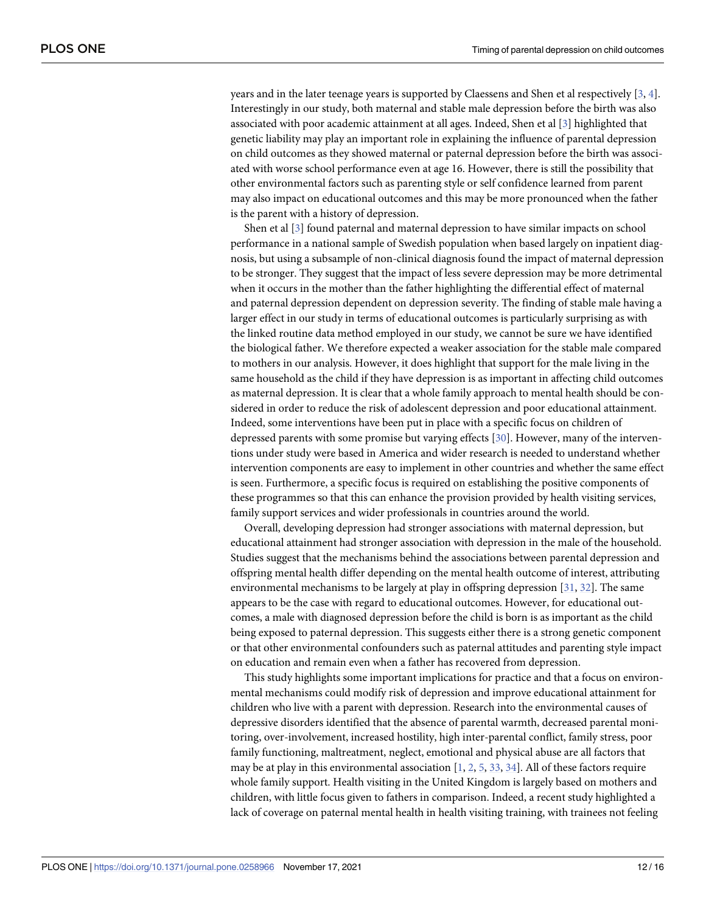<span id="page-11-0"></span>years and in the later teenage years is supported by Claessens and Shen et al respectively [\[3](#page-13-0), [4](#page-13-0)]. Interestingly in our study, both maternal and stable male depression before the birth was also associated with poor academic attainment at all ages. Indeed, Shen et al [[3\]](#page-13-0) highlighted that genetic liability may play an important role in explaining the influence of parental depression on child outcomes as they showed maternal or paternal depression before the birth was associated with worse school performance even at age 16. However, there is still the possibility that other environmental factors such as parenting style or self confidence learned from parent may also impact on educational outcomes and this may be more pronounced when the father is the parent with a history of depression.

Shen et al [[3\]](#page-13-0) found paternal and maternal depression to have similar impacts on school performance in a national sample of Swedish population when based largely on inpatient diagnosis, but using a subsample of non-clinical diagnosis found the impact of maternal depression to be stronger. They suggest that the impact of less severe depression may be more detrimental when it occurs in the mother than the father highlighting the differential effect of maternal and paternal depression dependent on depression severity. The finding of stable male having a larger effect in our study in terms of educational outcomes is particularly surprising as with the linked routine data method employed in our study, we cannot be sure we have identified the biological father. We therefore expected a weaker association for the stable male compared to mothers in our analysis. However, it does highlight that support for the male living in the same household as the child if they have depression is as important in affecting child outcomes as maternal depression. It is clear that a whole family approach to mental health should be considered in order to reduce the risk of adolescent depression and poor educational attainment. Indeed, some interventions have been put in place with a specific focus on children of depressed parents with some promise but varying effects [[30](#page-15-0)]. However, many of the interventions under study were based in America and wider research is needed to understand whether intervention components are easy to implement in other countries and whether the same effect is seen. Furthermore, a specific focus is required on establishing the positive components of these programmes so that this can enhance the provision provided by health visiting services, family support services and wider professionals in countries around the world.

Overall, developing depression had stronger associations with maternal depression, but educational attainment had stronger association with depression in the male of the household. Studies suggest that the mechanisms behind the associations between parental depression and offspring mental health differ depending on the mental health outcome of interest, attributing environmental mechanisms to be largely at play in offspring depression [\[31,](#page-15-0) [32\]](#page-15-0). The same appears to be the case with regard to educational outcomes. However, for educational outcomes, a male with diagnosed depression before the child is born is as important as the child being exposed to paternal depression. This suggests either there is a strong genetic component or that other environmental confounders such as paternal attitudes and parenting style impact on education and remain even when a father has recovered from depression.

This study highlights some important implications for practice and that a focus on environmental mechanisms could modify risk of depression and improve educational attainment for children who live with a parent with depression. Research into the environmental causes of depressive disorders identified that the absence of parental warmth, decreased parental monitoring, over-involvement, increased hostility, high inter-parental conflict, family stress, poor family functioning, maltreatment, neglect, emotional and physical abuse are all factors that may be at play in this environmental association  $[1, 2, 5, 33, 34]$  $[1, 2, 5, 33, 34]$  $[1, 2, 5, 33, 34]$  $[1, 2, 5, 33, 34]$  $[1, 2, 5, 33, 34]$  $[1, 2, 5, 33, 34]$  $[1, 2, 5, 33, 34]$  $[1, 2, 5, 33, 34]$  $[1, 2, 5, 33, 34]$  $[1, 2, 5, 33, 34]$  $[1, 2, 5, 33, 34]$ . All of these factors require whole family support. Health visiting in the United Kingdom is largely based on mothers and children, with little focus given to fathers in comparison. Indeed, a recent study highlighted a lack of coverage on paternal mental health in health visiting training, with trainees not feeling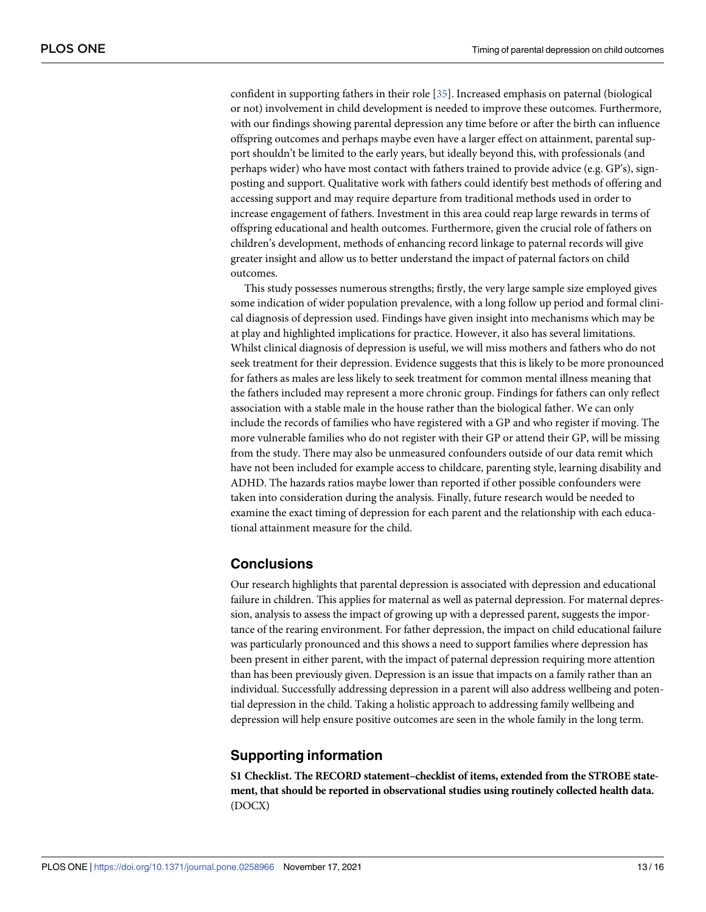<span id="page-12-0"></span>confident in supporting fathers in their role [[35](#page-15-0)]. Increased emphasis on paternal (biological or not) involvement in child development is needed to improve these outcomes. Furthermore, with our findings showing parental depression any time before or after the birth can influence offspring outcomes and perhaps maybe even have a larger effect on attainment, parental support shouldn't be limited to the early years, but ideally beyond this, with professionals (and perhaps wider) who have most contact with fathers trained to provide advice (e.g. GP's), signposting and support. Qualitative work with fathers could identify best methods of offering and accessing support and may require departure from traditional methods used in order to increase engagement of fathers. Investment in this area could reap large rewards in terms of offspring educational and health outcomes. Furthermore, given the crucial role of fathers on children's development, methods of enhancing record linkage to paternal records will give greater insight and allow us to better understand the impact of paternal factors on child outcomes.

This study possesses numerous strengths; firstly, the very large sample size employed gives some indication of wider population prevalence, with a long follow up period and formal clinical diagnosis of depression used. Findings have given insight into mechanisms which may be at play and highlighted implications for practice. However, it also has several limitations. Whilst clinical diagnosis of depression is useful, we will miss mothers and fathers who do not seek treatment for their depression. Evidence suggests that this is likely to be more pronounced for fathers as males are less likely to seek treatment for common mental illness meaning that the fathers included may represent a more chronic group. Findings for fathers can only reflect association with a stable male in the house rather than the biological father. We can only include the records of families who have registered with a GP and who register if moving. The more vulnerable families who do not register with their GP or attend their GP, will be missing from the study. There may also be unmeasured confounders outside of our data remit which have not been included for example access to childcare, parenting style, learning disability and ADHD. The hazards ratios maybe lower than reported if other possible confounders were taken into consideration during the analysis. Finally, future research would be needed to examine the exact timing of depression for each parent and the relationship with each educational attainment measure for the child.

# **Conclusions**

Our research highlights that parental depression is associated with depression and educational failure in children. This applies for maternal as well as paternal depression. For maternal depression, analysis to assess the impact of growing up with a depressed parent, suggests the importance of the rearing environment. For father depression, the impact on child educational failure was particularly pronounced and this shows a need to support families where depression has been present in either parent, with the impact of paternal depression requiring more attention than has been previously given. Depression is an issue that impacts on a family rather than an individual. Successfully addressing depression in a parent will also address wellbeing and potential depression in the child. Taking a holistic approach to addressing family wellbeing and depression will help ensure positive outcomes are seen in the whole family in the long term.

# **Supporting information**

**S1 [Checklist.](http://www.plosone.org/article/fetchSingleRepresentation.action?uri=info:doi/10.1371/journal.pone.0258966.s001) The RECORD statement–checklist of items, extended from the STROBE statement, that should be reported in observational studies using routinely collected health data.** (DOCX)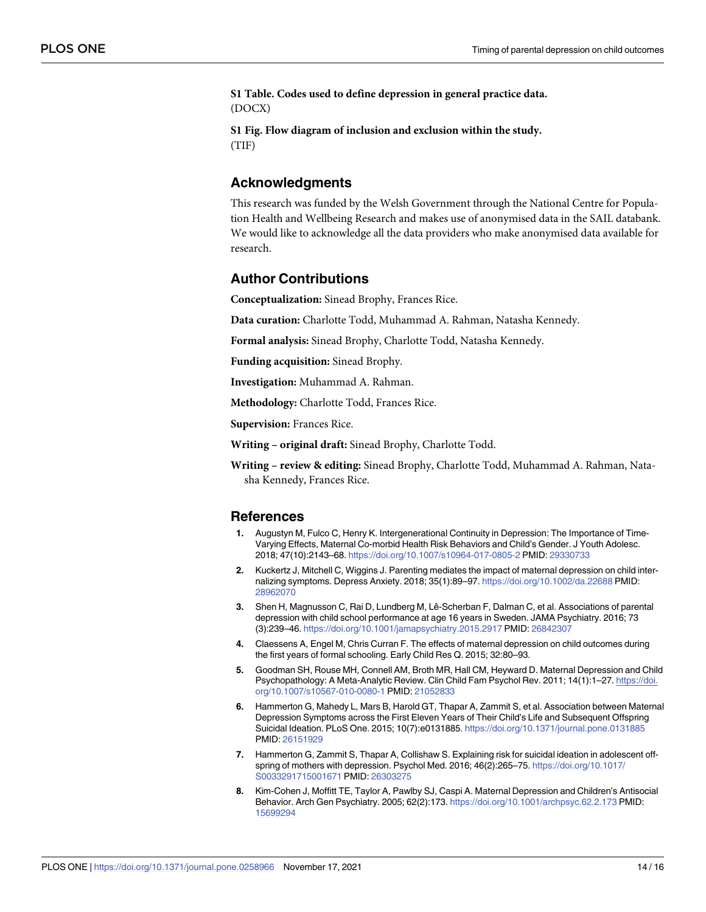<span id="page-13-0"></span>**S1 [Table.](http://www.plosone.org/article/fetchSingleRepresentation.action?uri=info:doi/10.1371/journal.pone.0258966.s002) Codes used to define depression in general practice data.** (DOCX)

**S1 [Fig](http://www.plosone.org/article/fetchSingleRepresentation.action?uri=info:doi/10.1371/journal.pone.0258966.s003). Flow diagram of inclusion and exclusion within the study.** (TIF)

### **Acknowledgments**

This research was funded by the Welsh Government through the National Centre for Population Health and Wellbeing Research and makes use of anonymised data in the SAIL databank. We would like to acknowledge all the data providers who make anonymised data available for research.

# **Author Contributions**

**Conceptualization:** Sinead Brophy, Frances Rice.

**Data curation:** Charlotte Todd, Muhammad A. Rahman, Natasha Kennedy.

**Formal analysis:** Sinead Brophy, Charlotte Todd, Natasha Kennedy.

**Funding acquisition:** Sinead Brophy.

**Investigation:** Muhammad A. Rahman.

**Methodology:** Charlotte Todd, Frances Rice.

**Supervision:** Frances Rice.

**Writing – original draft:** Sinead Brophy, Charlotte Todd.

**Writing – review & editing:** Sinead Brophy, Charlotte Todd, Muhammad A. Rahman, Natasha Kennedy, Frances Rice.

#### **References**

- **[1](#page-1-0).** Augustyn M, Fulco C, Henry K. Intergenerational Continuity in Depression: The Importance of Time-Varying Effects, Maternal Co-morbid Health Risk Behaviors and Child's Gender. J Youth Adolesc. 2018; 47(10):2143–68. <https://doi.org/10.1007/s10964-017-0805-2> PMID: [29330733](http://www.ncbi.nlm.nih.gov/pubmed/29330733)
- **[2](#page-1-0).** Kuckertz J, Mitchell C, Wiggins J. Parenting mediates the impact of maternal depression on child internalizing symptoms. Depress Anxiety. 2018; 35(1):89–97. <https://doi.org/10.1002/da.22688> PMID: [28962070](http://www.ncbi.nlm.nih.gov/pubmed/28962070)
- **[3](#page-1-0).** Shen H, Magnusson C, Rai D, Lundberg M, Lê-Scherban F, Dalman C, et al. Associations of parental depression with child school performance at age 16 years in Sweden. JAMA Psychiatry. 2016; 73 (3):239–46. <https://doi.org/10.1001/jamapsychiatry.2015.2917> PMID: [26842307](http://www.ncbi.nlm.nih.gov/pubmed/26842307)
- **[4](#page-1-0).** Claessens A, Engel M, Chris Curran F. The effects of maternal depression on child outcomes during the first years of formal schooling. Early Child Res Q. 2015; 32:80–93.
- **[5](#page-1-0).** Goodman SH, Rouse MH, Connell AM, Broth MR, Hall CM, Heyward D. Maternal Depression and Child Psychopathology: A Meta-Analytic Review. Clin Child Fam Psychol Rev. 2011; 14(1):1–27. [https://doi.](https://doi.org/10.1007/s10567-010-0080-1) [org/10.1007/s10567-010-0080-1](https://doi.org/10.1007/s10567-010-0080-1) PMID: [21052833](http://www.ncbi.nlm.nih.gov/pubmed/21052833)
- **[6](#page-1-0).** Hammerton G, Mahedy L, Mars B, Harold GT, Thapar A, Zammit S, et al. Association between Maternal Depression Symptoms across the First Eleven Years of Their Child's Life and Subsequent Offspring Suicidal Ideation. PLoS One. 2015; 10(7):e0131885. <https://doi.org/10.1371/journal.pone.0131885> PMID: [26151929](http://www.ncbi.nlm.nih.gov/pubmed/26151929)
- **[7](#page-1-0).** Hammerton G, Zammit S, Thapar A, Collishaw S. Explaining risk for suicidal ideation in adolescent offspring of mothers with depression. Psychol Med. 2016; 46(2):265–75. [https://doi.org/10.1017/](https://doi.org/10.1017/S0033291715001671) [S0033291715001671](https://doi.org/10.1017/S0033291715001671) PMID: [26303275](http://www.ncbi.nlm.nih.gov/pubmed/26303275)
- **[8](#page-1-0).** Kim-Cohen J, Moffitt TE, Taylor A, Pawlby SJ, Caspi A. Maternal Depression and Children's Antisocial Behavior. Arch Gen Psychiatry. 2005; 62(2):173. <https://doi.org/10.1001/archpsyc.62.2.173> PMID: [15699294](http://www.ncbi.nlm.nih.gov/pubmed/15699294)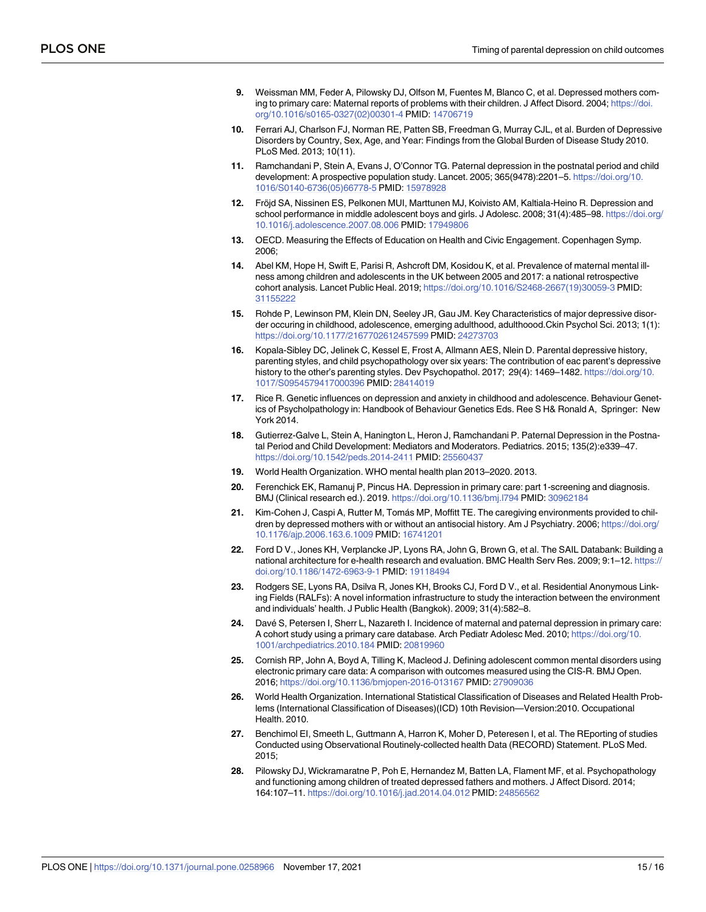- <span id="page-14-0"></span>**[9](#page-1-0).** Weissman MM, Feder A, Pilowsky DJ, Olfson M, Fuentes M, Blanco C, et al. Depressed mothers coming to primary care: Maternal reports of problems with their children. J Affect Disord. 2004; [https://doi.](https://doi.org/10.1016/s0165-0327%2802%2900301-4) [org/10.1016/s0165-0327\(02\)00301-4](https://doi.org/10.1016/s0165-0327%2802%2900301-4) PMID: [14706719](http://www.ncbi.nlm.nih.gov/pubmed/14706719)
- **[10](#page-1-0).** Ferrari AJ, Charlson FJ, Norman RE, Patten SB, Freedman G, Murray CJL, et al. Burden of Depressive Disorders by Country, Sex, Age, and Year: Findings from the Global Burden of Disease Study 2010. PLoS Med. 2013; 10(11).
- **[11](#page-1-0).** Ramchandani P, Stein A, Evans J, O'Connor TG. Paternal depression in the postnatal period and child development: A prospective population study. Lancet. 2005; 365(9478):2201–5. [https://doi.org/10.](https://doi.org/10.1016/S0140-6736%2805%2966778-5) [1016/S0140-6736\(05\)66778-5](https://doi.org/10.1016/S0140-6736%2805%2966778-5) PMID: [15978928](http://www.ncbi.nlm.nih.gov/pubmed/15978928)
- **[12](#page-1-0).** Fröjd SA, Nissinen ES, Pelkonen MUI, Marttunen MJ, Koivisto AM, Kaltiala-Heino R. Depression and school performance in middle adolescent boys and girls. J Adolesc. 2008; 31(4):485–98. [https://doi.org/](https://doi.org/10.1016/j.adolescence.2007.08.006) [10.1016/j.adolescence.2007.08.006](https://doi.org/10.1016/j.adolescence.2007.08.006) PMID: [17949806](http://www.ncbi.nlm.nih.gov/pubmed/17949806)
- **[13](#page-1-0).** OECD. Measuring the Effects of Education on Health and Civic Engagement. Copenhagen Symp. 2006;
- **[14](#page-1-0).** Abel KM, Hope H, Swift E, Parisi R, Ashcroft DM, Kosidou K, et al. Prevalence of maternal mental illness among children and adolescents in the UK between 2005 and 2017: a national retrospective cohort analysis. Lancet Public Heal. 2019; [https://doi.org/10.1016/S2468-2667\(19\)30059-3](https://doi.org/10.1016/S2468-2667%2819%2930059-3) PMID: [31155222](http://www.ncbi.nlm.nih.gov/pubmed/31155222)
- **[15](#page-1-0).** Rohde P, Lewinson PM, Klein DN, Seeley JR, Gau JM. Key Characteristics of major depressive disorder occuring in childhood, adolescence, emerging adulthood, adulthoood.Ckin Psychol Sci. 2013; 1(1): <https://doi.org/10.1177/2167702612457599> PMID: [24273703](http://www.ncbi.nlm.nih.gov/pubmed/24273703)
- **[16](#page-2-0).** Kopala-Sibley DC, Jelinek C, Kessel E, Frost A, Allmann AES, Nlein D. Parental depressive history, parenting styles, and child psychopathology over six years: The contribution of eac parent's depressive history to the other's parenting styles. Dev Psychopathol. 2017; 29(4): 1469-1482. [https://doi.org/10.](https://doi.org/10.1017/S0954579417000396) [1017/S0954579417000396](https://doi.org/10.1017/S0954579417000396) PMID: [28414019](http://www.ncbi.nlm.nih.gov/pubmed/28414019)
- **[17](#page-2-0).** Rice R. Genetic influences on depression and anxiety in childhood and adolescence. Behaviour Genetics of Psycholpathology in: Handbook of Behaviour Genetics Eds. Ree S H& Ronald A, Springer: New York 2014.
- **[18](#page-2-0).** Gutierrez-Galve L, Stein A, Hanington L, Heron J, Ramchandani P. Paternal Depression in the Postnatal Period and Child Development: Mediators and Moderators. Pediatrics. 2015; 135(2):e339–47. <https://doi.org/10.1542/peds.2014-2411> PMID: [25560437](http://www.ncbi.nlm.nih.gov/pubmed/25560437)
- **[19](#page-2-0).** World Health Organization. WHO mental health plan 2013–2020. 2013.
- **[20](#page-2-0).** Ferenchick EK, Ramanuj P, Pincus HA. Depression in primary care: part 1-screening and diagnosis. BMJ (Clinical research ed.). 2019. <https://doi.org/10.1136/bmj.l794> PMID: [30962184](http://www.ncbi.nlm.nih.gov/pubmed/30962184)
- **[21](#page-2-0).** Kim-Cohen J, Caspi A, Rutter M, Toma´s MP, Moffitt TE. The caregiving environments provided to children by depressed mothers with or without an antisocial history. Am J Psychiatry. 2006; [https://doi.org/](https://doi.org/10.1176/ajp.2006.163.6.1009) [10.1176/ajp.2006.163.6.1009](https://doi.org/10.1176/ajp.2006.163.6.1009) PMID: [16741201](http://www.ncbi.nlm.nih.gov/pubmed/16741201)
- **[22](#page-3-0).** Ford D V., Jones KH, Verplancke JP, Lyons RA, John G, Brown G, et al. The SAIL Databank: Building a national architecture for e-health research and evaluation. BMC Health Serv Res. 2009; 9:1–12. [https://](https://doi.org/10.1186/1472-6963-9-1) [doi.org/10.1186/1472-6963-9-1](https://doi.org/10.1186/1472-6963-9-1) PMID: [19118494](http://www.ncbi.nlm.nih.gov/pubmed/19118494)
- **[23](#page-3-0).** Rodgers SE, Lyons RA, Dsilva R, Jones KH, Brooks CJ, Ford D V., et al. Residential Anonymous Linking Fields (RALFs): A novel information infrastructure to study the interaction between the environment and individuals' health. J Public Health (Bangkok). 2009; 31(4):582–8.
- **[24](#page-3-0).** Davé S, Petersen I, Sherr L, Nazareth I. Incidence of maternal and paternal depression in primary care: A cohort study using a primary care database. Arch Pediatr Adolesc Med. 2010; [https://doi.org/10.](https://doi.org/10.1001/archpediatrics.2010.184) [1001/archpediatrics.2010.184](https://doi.org/10.1001/archpediatrics.2010.184) PMID: [20819960](http://www.ncbi.nlm.nih.gov/pubmed/20819960)
- **[25](#page-3-0).** Cornish RP, John A, Boyd A, Tilling K, Macleod J. Defining adolescent common mental disorders using electronic primary care data: A comparison with outcomes measured using the CIS-R. BMJ Open. 2016; <https://doi.org/10.1136/bmjopen-2016-013167> PMID: [27909036](http://www.ncbi.nlm.nih.gov/pubmed/27909036)
- **[26](#page-3-0).** World Health Organization. International Statistical Classification of Diseases and Related Health Problems (International Classification of Diseases)(ICD) 10th Revision—Version:2010. Occupational Health. 2010.
- **[27](#page-3-0).** Benchimol EI, Smeeth L, Guttmann A, Harron K, Moher D, Peteresen I, et al. The REporting of studies Conducted using Observational Routinely-collected health Data (RECORD) Statement. PLoS Med. 2015;
- **[28](#page-9-0).** Pilowsky DJ, Wickramaratne P, Poh E, Hernandez M, Batten LA, Flament MF, et al. Psychopathology and functioning among children of treated depressed fathers and mothers. J Affect Disord. 2014; 164:107–11. <https://doi.org/10.1016/j.jad.2014.04.012> PMID: [24856562](http://www.ncbi.nlm.nih.gov/pubmed/24856562)